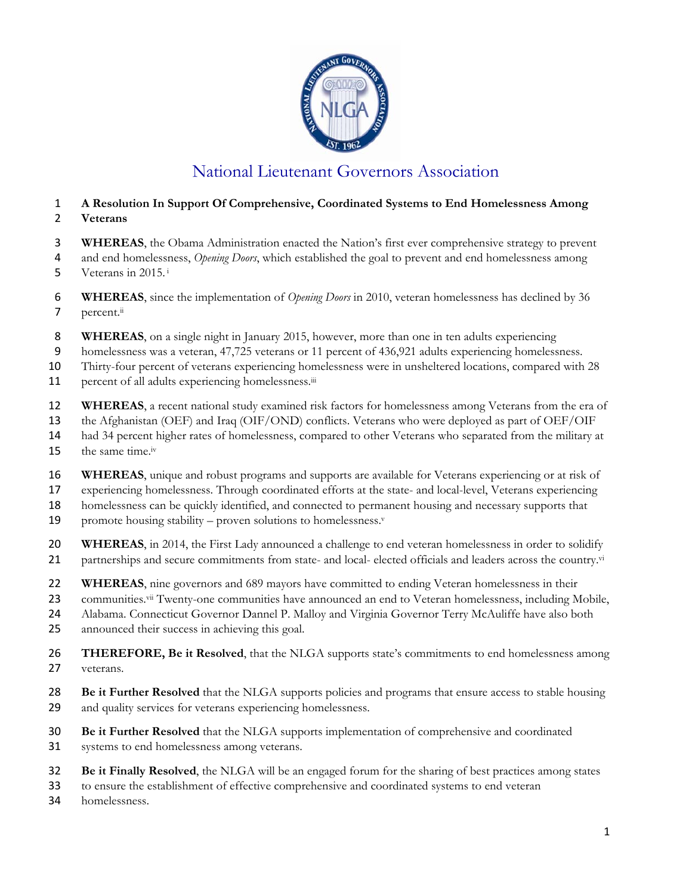

## National Lieutenant Governors Association

## **A Resolution In Support Of Comprehensive, Coordinated Systems to End Homelessness Among Veterans**

- **WHEREAS**, the Obama Administration enacted the Nation's first ever comprehensive strategy to prevent
- and end homelessness, *Opening Doors*, which established the goal to prevent and end homelessness among
- 5 Veterans in 2015. $\frac{1}{2}$
- **WHEREAS**, since the implementation of *Opening Doors* in 2010, veteran homelessness has declined by 36 percent. $\ddot{}}$
- **WHEREAS**, on a single night in January 2015, however, more than one in ten adults experiencing
- homelessness was a veteran, 47,725 veterans or 11 percent of 436,921 adults experiencing homelessness.
- Thirty-four percent of veterans experiencing homelessness were in unsheltered locations, compared with 28
- 11 percent of all adults experiencing homelessness.<sup>iii</sup>
- **WHEREAS**, a recent national study examined risk factors for homelessness among Veterans from the era of
- the Afghanistan (OEF) and Iraq (OIF/OND) conflicts. Veterans who were deployed as part of OEF/OIF
- had 34 percent higher rates of homelessness, compared to other Veterans who separated from the military at
- 15 the same time.<sup> $iv$ </sup>
- **WHEREAS**, unique and robust programs and supports are available for Veterans experiencing or at risk of
- experiencing homelessness. Through coordinated efforts at the state- and local-level, Veterans experiencing

homelessness can be quickly identified, and connected to permanent housing and necessary supports that

- 19 promote housing stability proven solutions to homelessness. $v$
- **WHEREAS**, in 2014, the First Lady announced a challenge to end veteran homelessness in order to solidify 21 partnerships and secure commitments from state- and local- elected officials and leaders across the country.vi
- **WHEREAS**, nine governors and 689 mayors have committed to ending Veteran homelessness in their
- 23 communities.<sup>vii</sup> Twenty-one communities have announced an end to Veteran homelessness, including Mobile,
- Alabama. Connecticut Governor Dannel P. Malloy and Virginia Governor Terry McAuliffe have also both
- announced their success in achieving this goal.
- **THEREFORE, Be it Resolved**, that the NLGA supports state's commitments to end homelessness among veterans.
- **Be it Further Resolved** that the NLGA supports policies and programs that ensure access to stable housing and quality services for veterans experiencing homelessness.
- **Be it Further Resolved** that the NLGA supports implementation of comprehensive and coordinated systems to end homelessness among veterans.
- **Be it Finally Resolved**, the NLGA will be an engaged forum for the sharing of best practices among states
- to ensure the establishment of effective comprehensive and coordinated systems to end veteran
- homelessness.